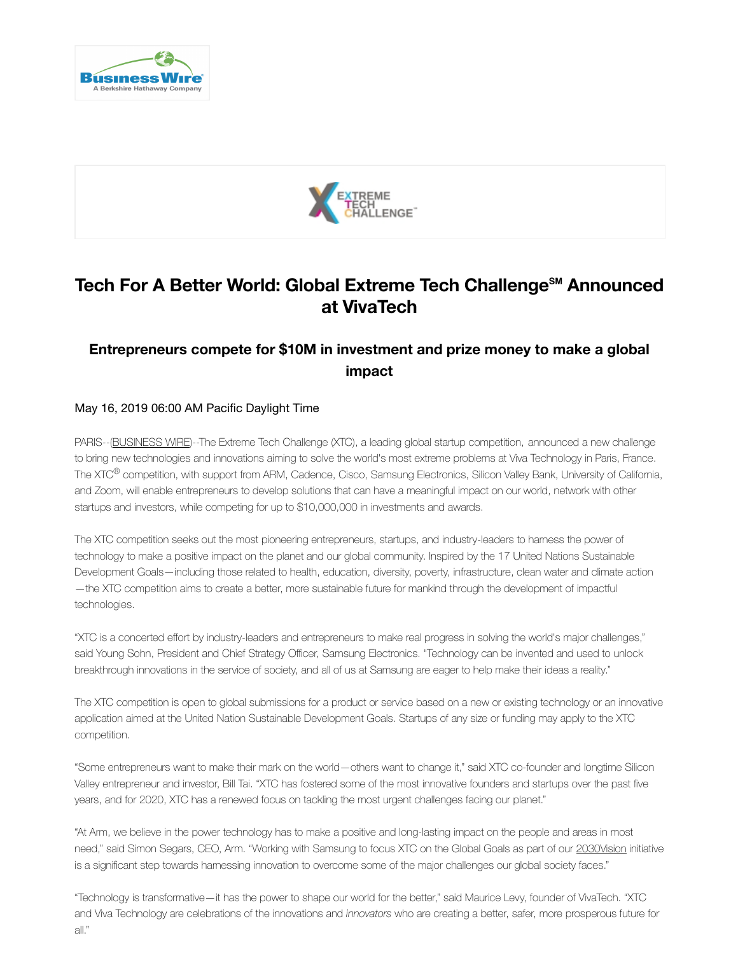



## **Tech For A Better World: Global Extreme Tech Challenge℠ Announced at VivaTech**

## **Entrepreneurs compete for \$10M in investment and prize money to make a global impact**

## May 16, 2019 06:00 AM Pacific Daylight Time

PARIS--(BUSINESS WIRE)--The Extreme Tech Challenge (XTC), a leading global startup competition, announced a new challenge to bring new technologies and innovations aiming to solve the world's most extreme problems at Viva Technology in Paris, France. The XTC<sup>®</sup> competition, with support from ARM, Cadence, Cisco, Samsung Electronics, Silicon Valley Bank, University of California, and Zoom, will enable entrepreneurs to develop solutions that can have a meaningful impact on our world, network with other startups and investors, while competing for up to \$10,000,000 in investments and awards.

The XTC competition seeks out the most pioneering entrepreneurs, startups, and industry-leaders to harness the power of technology to make a positive impact on the planet and our global community. Inspired by the 17 United Nations Sustainable Development Goals—including those related to health, education, diversity, poverty, infrastructure, clean water and climate action —the XTC competition aims to create a better, more sustainable future for mankind through the development of impactful technologies.

"XTC is a concerted effort by industry-leaders and entrepreneurs to make real progress in solving the world's major challenges," said Young Sohn, President and Chief Strategy Officer, Samsung Electronics. "Technology can be invented and used to unlock breakthrough innovations in the service of society, and all of us at Samsung are eager to help make their ideas a reality."

The XTC competition is open to global submissions for a product or service based on a new or existing technology or an innovative application aimed at the United Nation Sustainable Development Goals. Startups of any size or funding may apply to the XTC competition.

"Some entrepreneurs want to make their mark on the world—others want to change it," said XTC co-founder and longtime Silicon Valley entrepreneur and investor, Bill Tai. "XTC has fostered some of the most innovative founders and startups over the past five years, and for 2020, XTC has a renewed focus on tackling the most urgent challenges facing our planet."

"At Arm, we believe in the power technology has to make a positive and long-lasting impact on the people and areas in most need," said Simon Segars, CEO, Arm. "Working with Samsung to focus XTC on the Global Goals as part of our 2030Vision initiative is a significant step towards harnessing innovation to overcome some of the major challenges our global society faces."

https://www.businesswire.com/news/home/20190516005196/en/Tech-World-Global-Extreme-Tech-Challenge -Announced 1/4 "Technology is transformative—it has the power to shape our world for the better," said Maurice Levy, founder of VivaTech. "XTC and Viva Technology are celebrations of the innovations and *innovators* who are creating a better, safer, more prosperous future for all."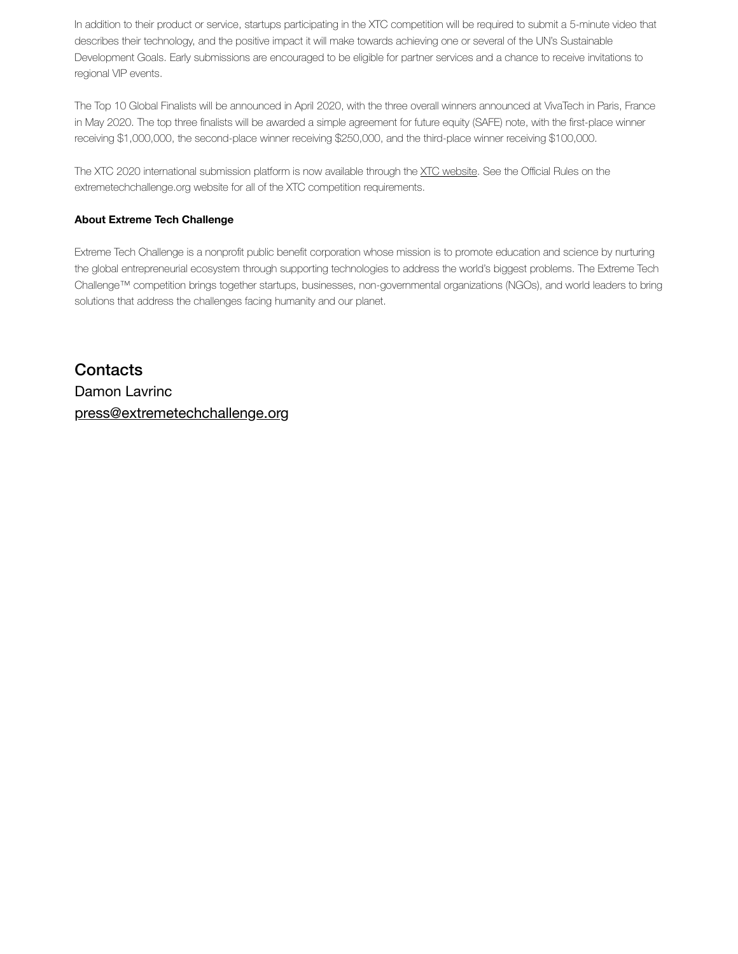In addition to their product or service, startups participating in the XTC competition will be required to submit a 5-minute video that describes their technology, and the positive impact it will make towards achieving one or several of the UN's Sustainable Development Goals. Early submissions are encouraged to be eligible for partner services and a chance to receive invitations to regional VIP events.

The Top 10 Global Finalists will be announced in April 2020, with the three overall winners announced at VivaTech in Paris, France in May 2020. The top three finalists will be awarded a simple agreement for future equity (SAFE) note, with the first-place winner receiving \$1,000,000, the second-place winner receiving \$250,000, and the third-place winner receiving \$100,000.

The XTC 2020 international submission platform is now available through the XTC website. See the Official Rules on the extremetechchallenge.org website for all of the XTC competition requirements.

## **About Extreme Tech Challenge**

Extreme Tech Challenge is a nonprofit public benefit corporation whose mission is to promote education and science by nurturing the global entrepreneurial ecosystem through supporting technologies to address the world's biggest problems. The Extreme Tech Challenge™ competition brings together startups, businesses, non-governmental organizations (NGOs), and world leaders to bring solutions that address the challenges facing humanity and our planet.

**Contacts** Damon Lavrinc press@extremetechchallenge.org